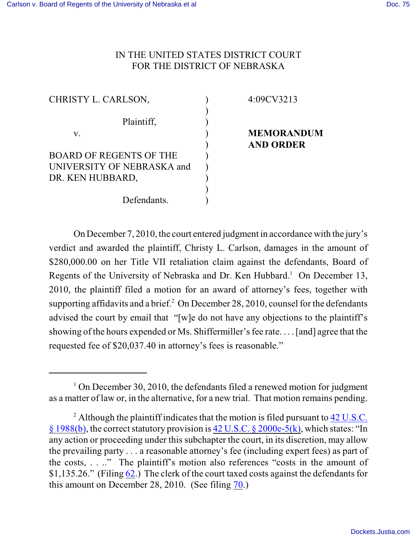## IN THE UNITED STATES DISTRICT COURT FOR THE DISTRICT OF NEBRASKA

4:09CV3213

**MEMORANDUM**

**AND ORDER**

| CHRISTY L. CARLSON,        |  |
|----------------------------|--|
| Plaintiff,                 |  |
| V.                         |  |
| BOARD OF REGENTS OF THE    |  |
| UNIVERSITY OF NEBRASKA and |  |
| DR. KEN HUBBARD,           |  |
|                            |  |
| Defendants.                |  |

On December 7, 2010, the court entered judgment in accordance with the jury's verdict and awarded the plaintiff, Christy L. Carlson, damages in the amount of \$280,000.00 on her Title VII retaliation claim against the defendants, Board of Regents of the University of Nebraska and Dr. Ken Hubbard.<sup>1</sup> On December 13, 2010, the plaintiff filed a motion for an award of attorney's fees, together with supporting affidavits and a brief. $^2$  On December 28, 2010, counsel for the defendants advised the court by email that "[w]e do not have any objections to the plaintiff's showing of the hours expended or Ms. Shiffermiller's fee rate. . . . [and] agree that the requested fee of \$20,037.40 in attorney's fees is reasonable."

 $1$  On December 30, 2010, the defendants filed a renewed motion for judgment as a matter of law or, in the alternative, for a new trial. That motion remains pending.

<sup>&</sup>lt;sup>2</sup> Although the plaintiff indicates that the motion is filed pursuant to  $42 \text{ U.S.C.}$ [§ 1988\(b\)](http://www.westlaw.com/find/default.wl?rs=WLW9.01&ifm=NotSet&fn=_top&sv=Split&cite=42+usc+1988&vr=2.0&rp=%2ffind%2fdefault.wl&mt=Westlaw), the correct statutory provision is [42 U.S.C. § 2000e-5\(k\)](https://web2.westlaw.com/result/result.aspx?ss=CNT&db=1000546&mt=EighthCircuit&rs=WLW10.10&ordoc=2024223964&scxt=WL&docname=42USCAS2000E-5&sv=Split&fmqv=c&rp=%2fFind%2fdefault.wl&findtype=L&rlti=1&cnt=DOC&vr=2.0&fn=_top&service=Find&rlt=CLID_FQRLT3674430), which states: "In any action or proceeding under this subchapter the court, in its discretion, may allow the prevailing party . . . a reasonable attorney's fee (including expert fees) as part of the costs, . . .." The plaintiff's motion also references "costs in the amount of \$1,135.26." (Filing [62](https://ecf.ned.uscourts.gov/doc1/11312163169).) The clerk of the court taxed costs against the defendants for this amount on December 28, 2010. (See filing [70](https://ecf.ned.uscourts.gov/doc1/11312172819).)